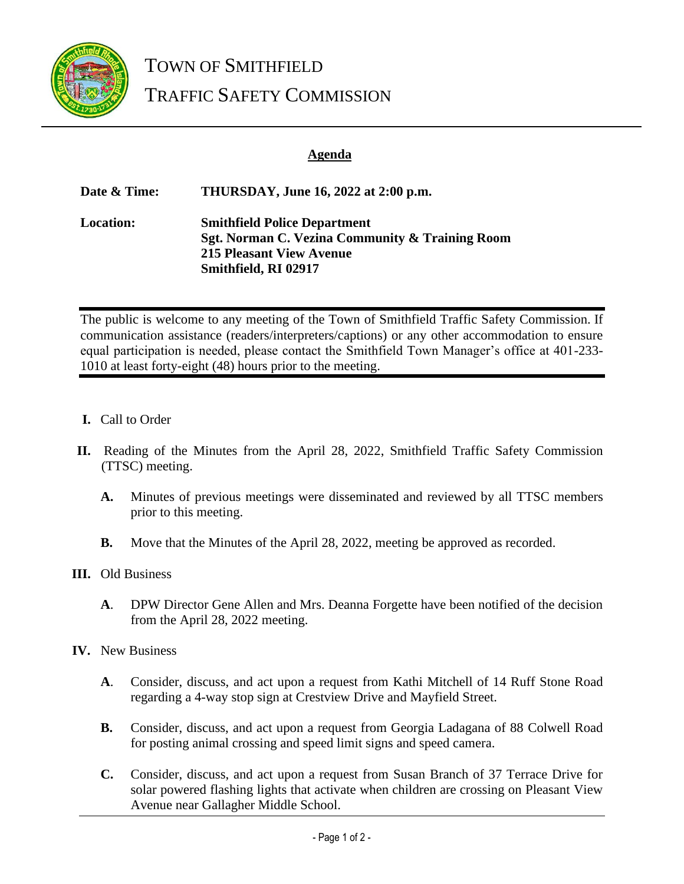

TOWN OF SMITHFIELD TRAFFIC SAFETY COMMISSION

## **Agenda**

**Date & Time: THURSDAY, June 16, 2022 at 2:00 p.m. Location: Smithfield Police Department Sgt. Norman C. Vezina Community & Training Room 215 Pleasant View Avenue Smithfield, RI 02917**

The public is welcome to any meeting of the Town of Smithfield Traffic Safety Commission. If communication assistance (readers/interpreters/captions) or any other accommodation to ensure equal participation is needed, please contact the Smithfield Town Manager's office at 401-233- 1010 at least forty-eight (48) hours prior to the meeting.

- **I.** Call to Order
- **II.** Reading of the Minutes from the April 28, 2022, Smithfield Traffic Safety Commission (TTSC) meeting.
	- **A.** Minutes of previous meetings were disseminated and reviewed by all TTSC members prior to this meeting.
	- **B.** Move that the Minutes of the April 28, 2022, meeting be approved as recorded.
- **III.** Old Business
	- **A**. DPW Director Gene Allen and Mrs. Deanna Forgette have been notified of the decision from the April 28, 2022 meeting.
- **IV.** New Business
	- **A**. Consider, discuss, and act upon a request from Kathi Mitchell of 14 Ruff Stone Road regarding a 4-way stop sign at Crestview Drive and Mayfield Street.
	- **B.** Consider, discuss, and act upon a request from Georgia Ladagana of 88 Colwell Road for posting animal crossing and speed limit signs and speed camera.
	- **C.** Consider, discuss, and act upon a request from Susan Branch of 37 Terrace Drive for solar powered flashing lights that activate when children are crossing on Pleasant View Avenue near Gallagher Middle School.